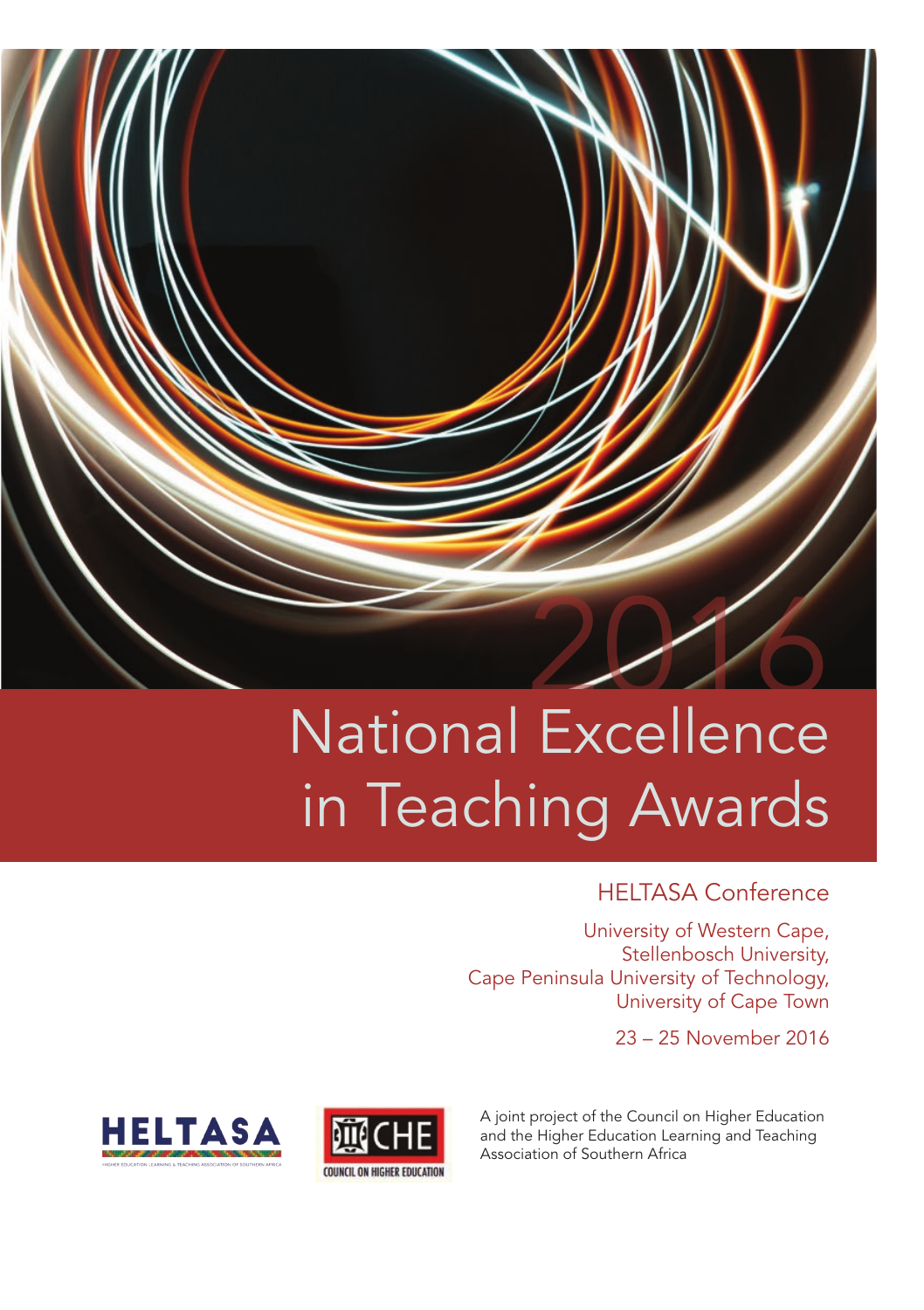

# National Excellence in Teaching Awards

#### HELTASA Conference

University of Western Cape, Stellenbosch University, Cape Peninsula University of Technology, University of Cape Town

23 – 25 November 2016





A joint project of the Council on Higher Education and the Higher Education Learning and Teaching Association of Southern Africa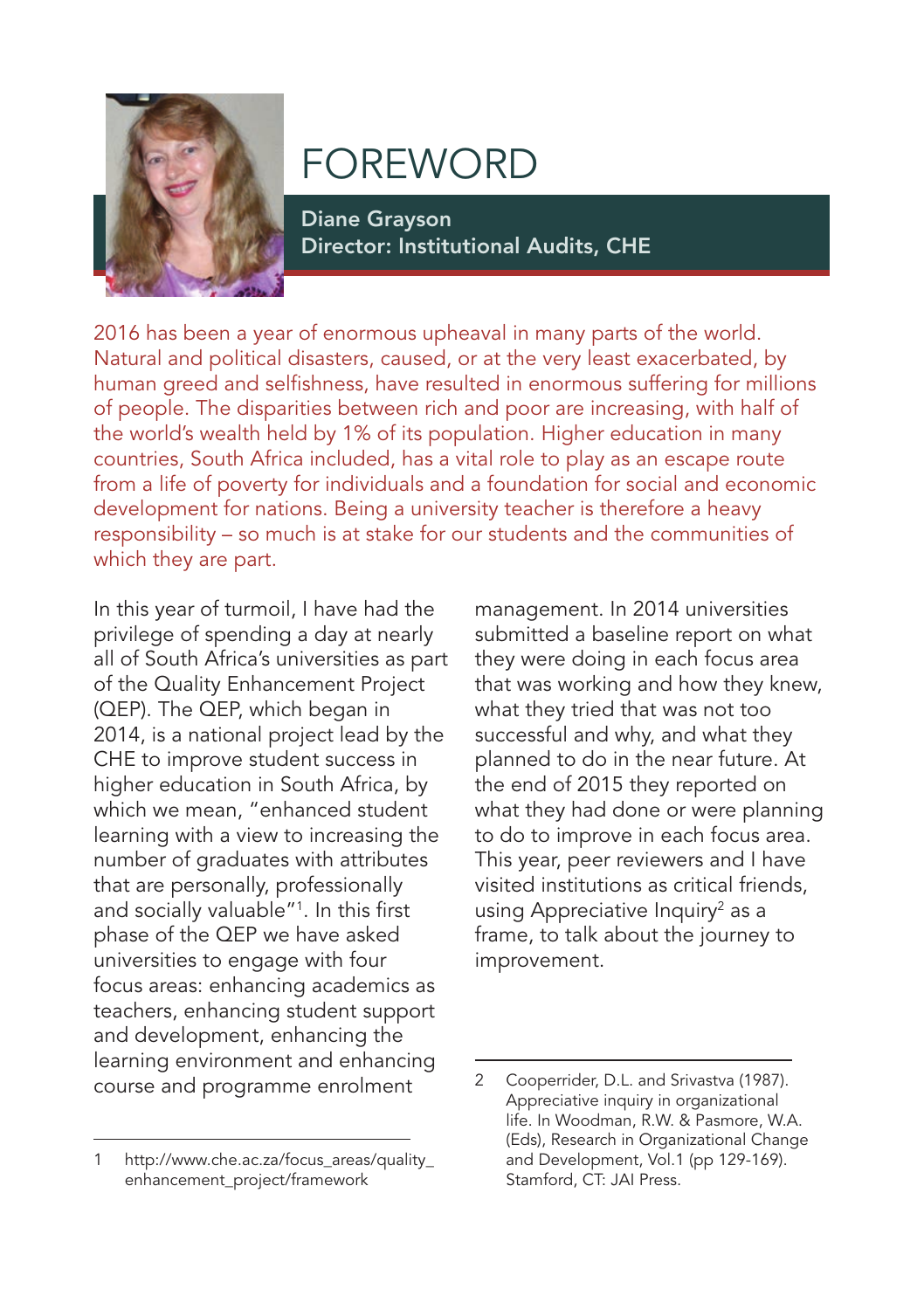

# FOREWORD

Diane Grayson Director: Institutional Audits, CHE

2016 has been a year of enormous upheaval in many parts of the world. Natural and political disasters, caused, or at the very least exacerbated, by human greed and selfishness, have resulted in enormous suffering for millions of people. The disparities between rich and poor are increasing, with half of the world's wealth held by 1% of its population. Higher education in many countries, South Africa included, has a vital role to play as an escape route from a life of poverty for individuals and a foundation for social and economic development for nations. Being a university teacher is therefore a heavy responsibility – so much is at stake for our students and the communities of which they are part.

In this year of turmoil, I have had the privilege of spending a day at nearly all of South Africa's universities as part of the Quality Enhancement Project (QEP). The QEP, which began in 2014, is a national project lead by the CHE to improve student success in higher education in South Africa, by which we mean, "enhanced student learning with a view to increasing the number of graduates with attributes that are personally, professionally and socially valuable"1 . In this first phase of the QEP we have asked universities to engage with four focus areas: enhancing academics as teachers, enhancing student support and development, enhancing the learning environment and enhancing course and programme enrolment

1 http://www.che.ac.za/focus\_areas/quality\_ enhancement\_project/framework

management. In 2014 universities submitted a baseline report on what they were doing in each focus area that was working and how they knew, what they tried that was not too successful and why, and what they planned to do in the near future. At the end of 2015 they reported on what they had done or were planning to do to improve in each focus area. This year, peer reviewers and I have visited institutions as critical friends, using Appreciative Inquiry<sup>2</sup> as a frame, to talk about the journey to improvement.

<sup>2</sup> Cooperrider, D.L. and Srivastva (1987). Appreciative inquiry in organizational life. In Woodman, R.W. & Pasmore, W.A. (Eds), Research in Organizational Change and Development, Vol.1 (pp 129-169). Stamford, CT: JAI Press.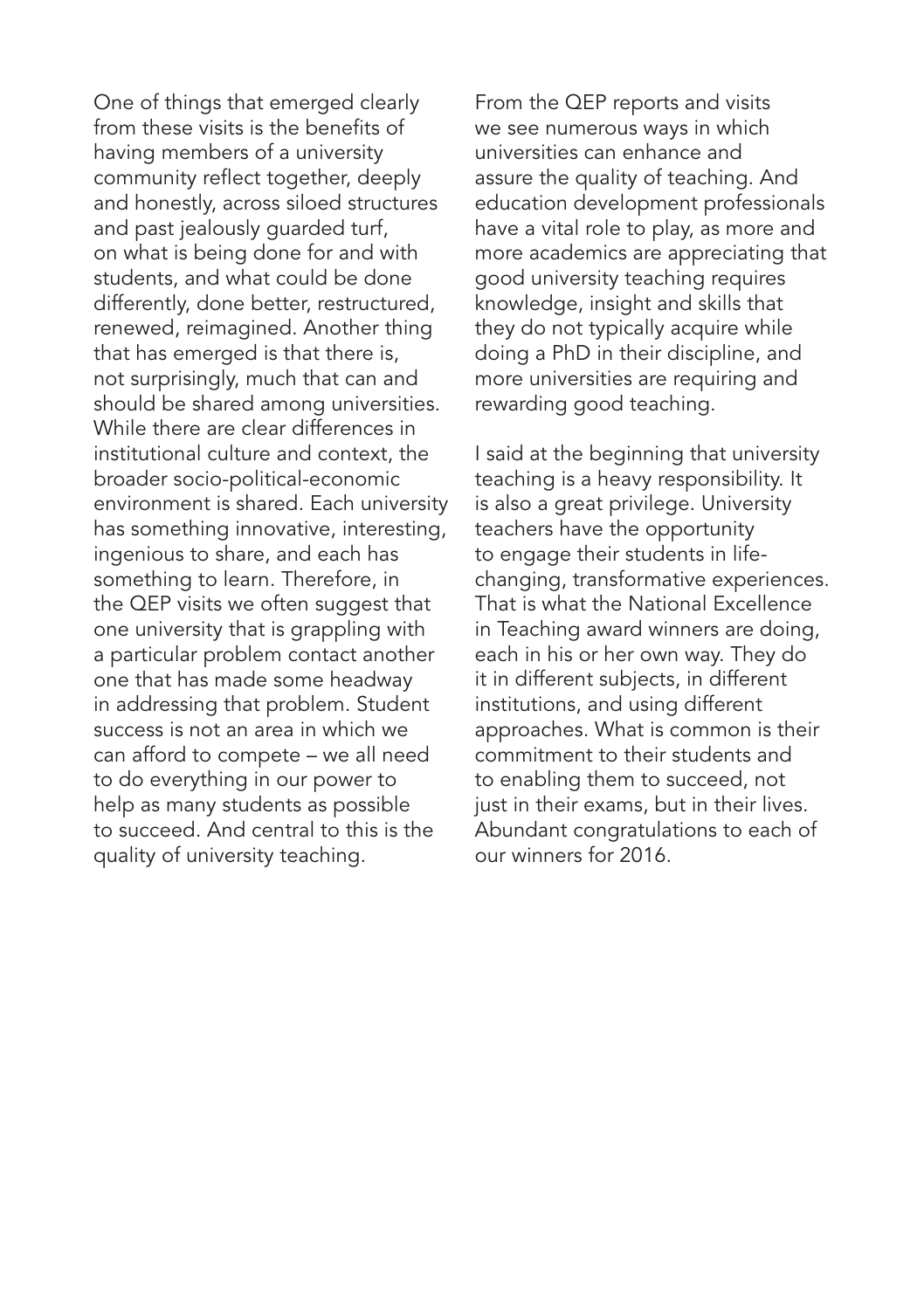One of things that emerged clearly from these visits is the benefits of having members of a university community reflect together, deeply and honestly, across siloed structures and past jealously guarded turf, on what is being done for and with students, and what could be done differently, done better, restructured, renewed, reimagined. Another thing that has emerged is that there is, not surprisingly, much that can and should be shared among universities. While there are clear differences in institutional culture and context, the broader socio-political-economic environment is shared. Each university has something innovative, interesting, ingenious to share, and each has something to learn. Therefore, in the QEP visits we often suggest that one university that is grappling with a particular problem contact another one that has made some headway in addressing that problem. Student success is not an area in which we can afford to compete – we all need to do everything in our power to help as many students as possible to succeed. And central to this is the quality of university teaching.

From the QEP reports and visits we see numerous ways in which universities can enhance and assure the quality of teaching. And education development professionals have a vital role to play, as more and more academics are appreciating that good university teaching requires knowledge, insight and skills that they do not typically acquire while doing a PhD in their discipline, and more universities are requiring and rewarding good teaching.

I said at the beginning that university teaching is a heavy responsibility. It is also a great privilege. University teachers have the opportunity to engage their students in lifechanging, transformative experiences. That is what the National Excellence in Teaching award winners are doing, each in his or her own way. They do it in different subjects, in different institutions, and using different approaches. What is common is their commitment to their students and to enabling them to succeed, not just in their exams, but in their lives. Abundant congratulations to each of our winners for 2016.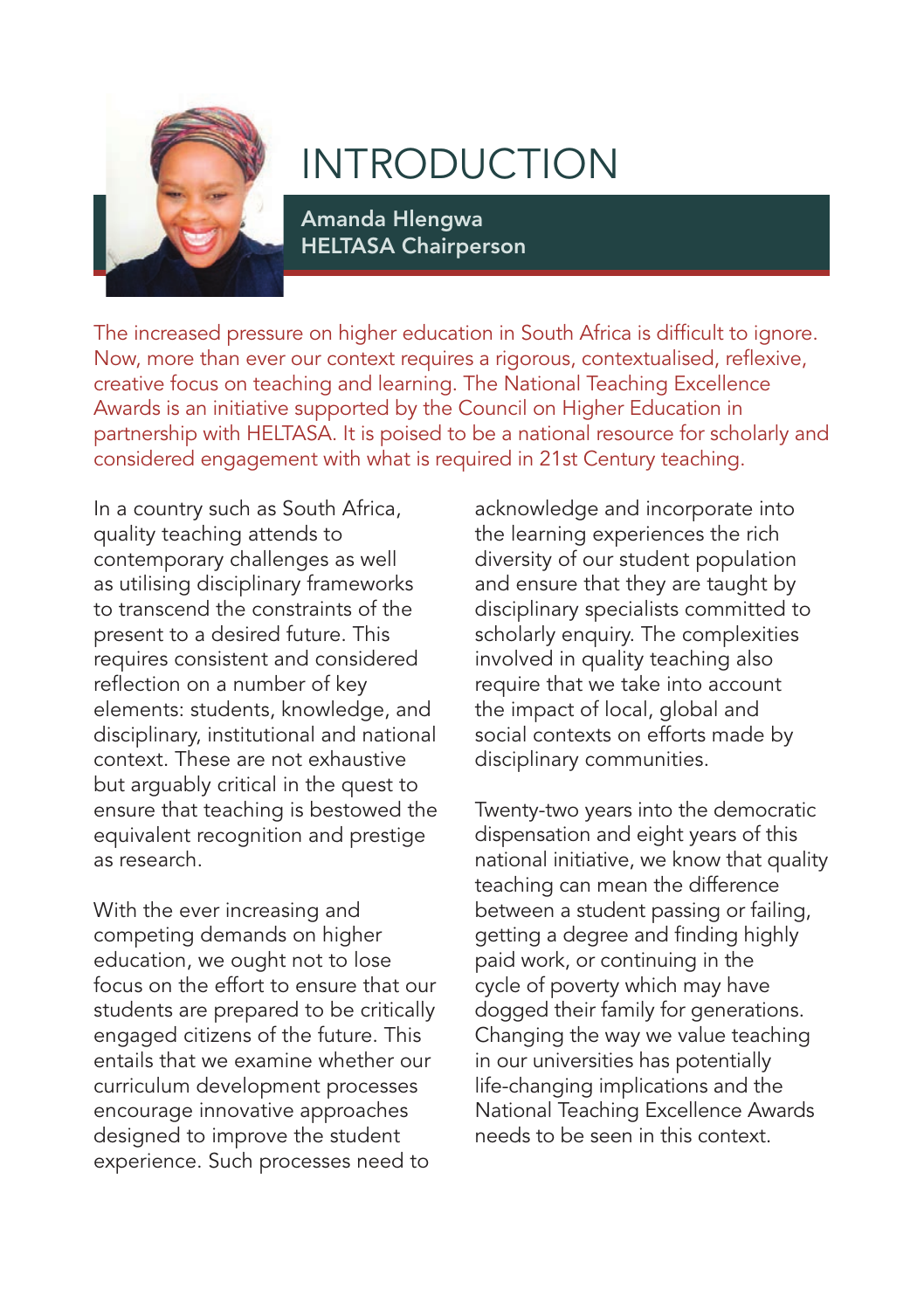

# INTRODUCTION

Amanda Hlengwa HELTASA Chairperson

The increased pressure on higher education in South Africa is difficult to ignore. Now, more than ever our context requires a rigorous, contextualised, reflexive, creative focus on teaching and learning. The National Teaching Excellence Awards is an initiative supported by the Council on Higher Education in partnership with HELTASA. It is poised to be a national resource for scholarly and considered engagement with what is required in 21st Century teaching.

In a country such as South Africa, quality teaching attends to contemporary challenges as well as utilising disciplinary frameworks to transcend the constraints of the present to a desired future. This requires consistent and considered reflection on a number of key elements: students, knowledge, and disciplinary, institutional and national context. These are not exhaustive but arguably critical in the quest to ensure that teaching is bestowed the equivalent recognition and prestige as research.

With the ever increasing and competing demands on higher education, we ought not to lose focus on the effort to ensure that our students are prepared to be critically engaged citizens of the future. This entails that we examine whether our curriculum development processes encourage innovative approaches designed to improve the student experience. Such processes need to

acknowledge and incorporate into the learning experiences the rich diversity of our student population and ensure that they are taught by disciplinary specialists committed to scholarly enquiry. The complexities involved in quality teaching also require that we take into account the impact of local, global and social contexts on efforts made by disciplinary communities.

Twenty-two years into the democratic dispensation and eight years of this national initiative, we know that quality teaching can mean the difference between a student passing or failing, getting a degree and finding highly paid work, or continuing in the cycle of poverty which may have dogged their family for generations. Changing the way we value teaching in our universities has potentially life-changing implications and the National Teaching Excellence Awards needs to be seen in this context.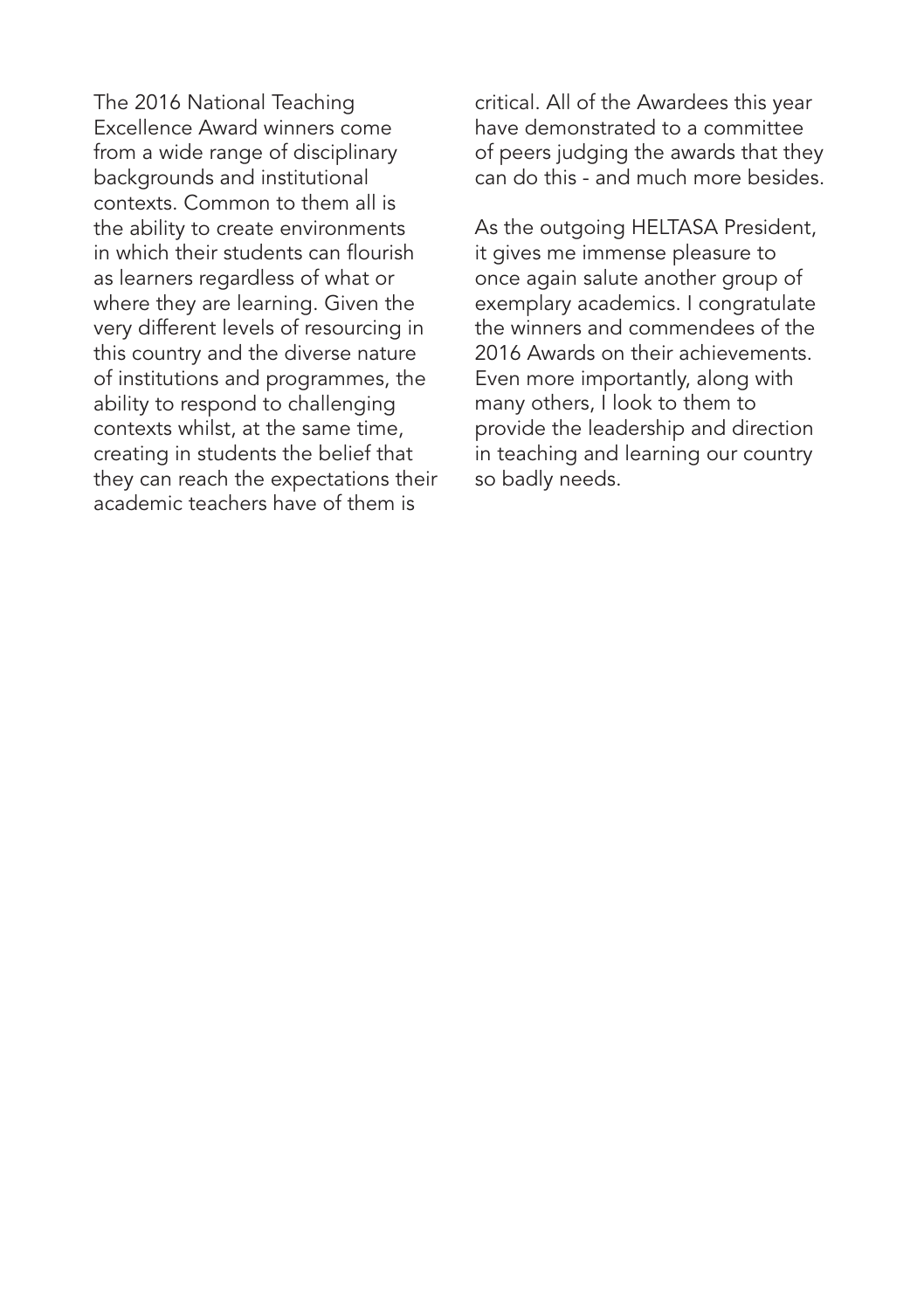The 2016 National Teaching Excellence Award winners come from a wide range of disciplinary backgrounds and institutional contexts. Common to them all is the ability to create environments in which their students can flourish as learners regardless of what or where they are learning. Given the very different levels of resourcing in this country and the diverse nature of institutions and programmes, the ability to respond to challenging contexts whilst, at the same time, creating in students the belief that they can reach the expectations their academic teachers have of them is

critical. All of the Awardees this year have demonstrated to a committee of peers judging the awards that they can do this - and much more besides.

As the outgoing HELTASA President, it gives me immense pleasure to once again salute another group of exemplary academics. I congratulate the winners and commendees of the 2016 Awards on their achievements. Even more importantly, along with many others, I look to them to provide the leadership and direction in teaching and learning our country so badly needs.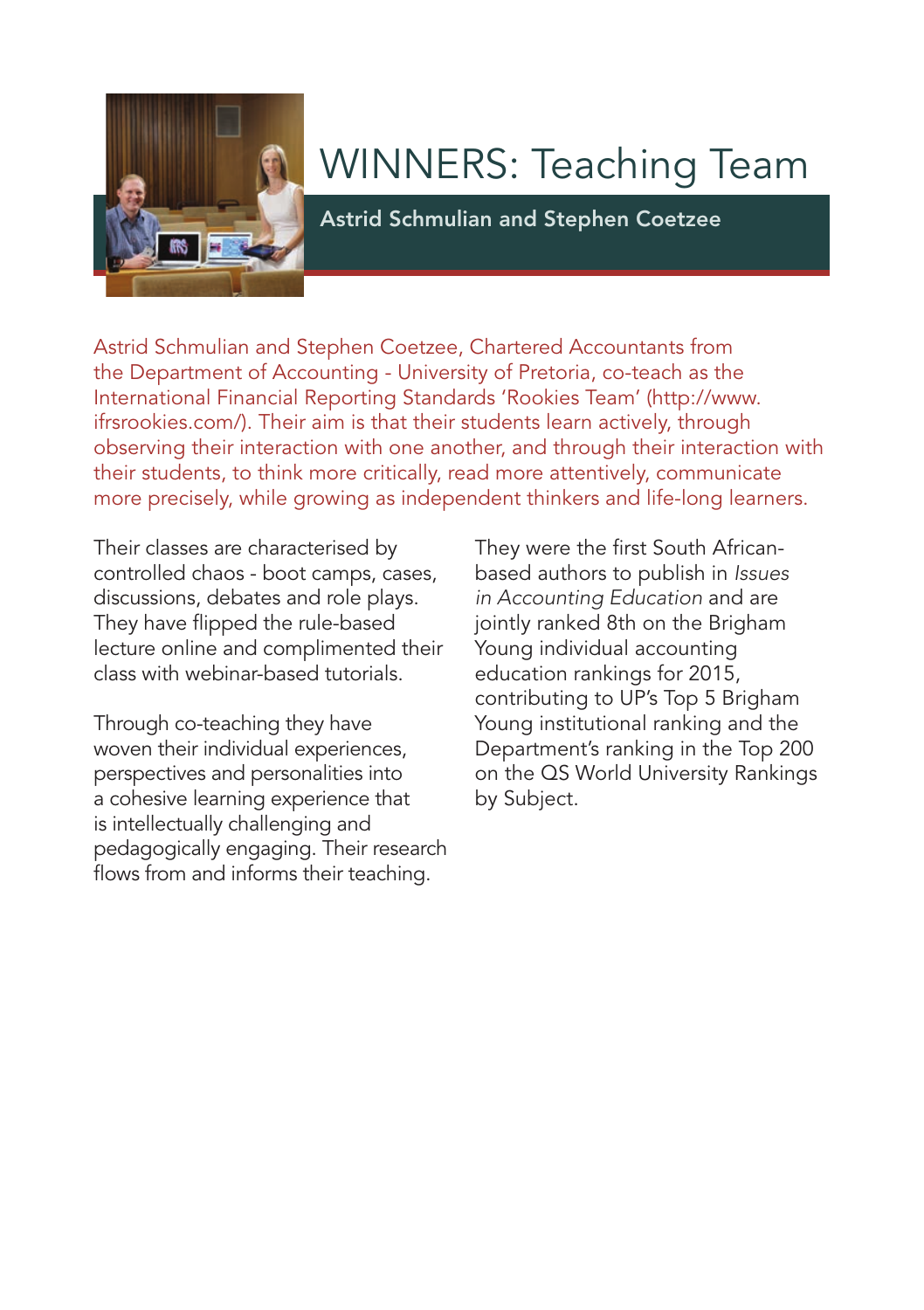

# WINNERS: Teaching Team

Astrid Schmulian and Stephen Coetzee

Astrid Schmulian and Stephen Coetzee, Chartered Accountants from the Department of Accounting - University of Pretoria, co-teach as the International Financial Reporting Standards 'Rookies Team' (http://www. ifrsrookies.com/). Their aim is that their students learn actively, through observing their interaction with one another, and through their interaction with their students, to think more critically, read more attentively, communicate more precisely, while growing as independent thinkers and life-long learners.

Their classes are characterised by controlled chaos - boot camps, cases, discussions, debates and role plays. They have flipped the rule-based lecture online and complimented their class with webinar-based tutorials.

Through co-teaching they have woven their individual experiences, perspectives and personalities into a cohesive learning experience that is intellectually challenging and pedagogically engaging. Their research flows from and informs their teaching.

They were the first South Africanbased authors to publish in *Issues in Accounting Education* and are jointly ranked 8th on the Brigham Young individual accounting education rankings for 2015, contributing to UP's Top 5 Brigham Young institutional ranking and the Department's ranking in the Top 200 on the QS World University Rankings by Subject.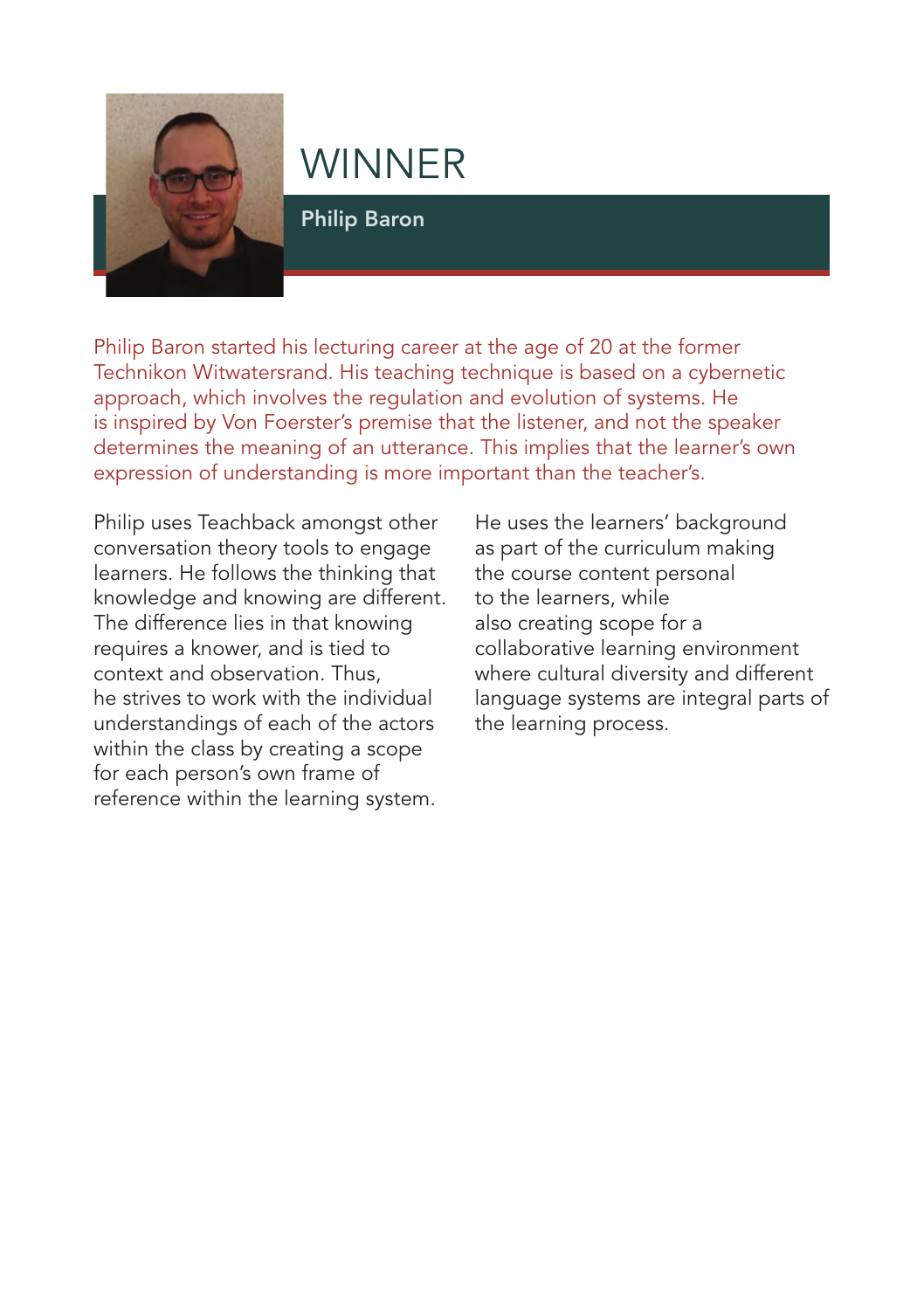

Philip Baron

Philip Baron started his lecturing career at the age of 20 at the former Technikon Witwatersrand. His teaching technique is based on a cybernetic approach, which involves the regulation and evolution of systems. He is inspired by Von Foerster's premise that the listener, and not the speaker determines the meaning of an utterance. This implies that the learner's own expression of understanding is more important than the teacher's.

Philip uses Teachback amongst other conversation theory tools to engage learners. He follows the thinking that knowledge and knowing are different. The difference lies in that knowing requires a knower, and is tied to context and observation. Thus, he strives to work with the individual understandings of each of the actors within the class by creating a scope for each person's own frame of reference within the learning system.

He uses the learners' background as part of the curriculum making the course content personal to the learners, while also creating scope for a collaborative learning environment where cultural diversity and different language systems are integral parts of the learning process.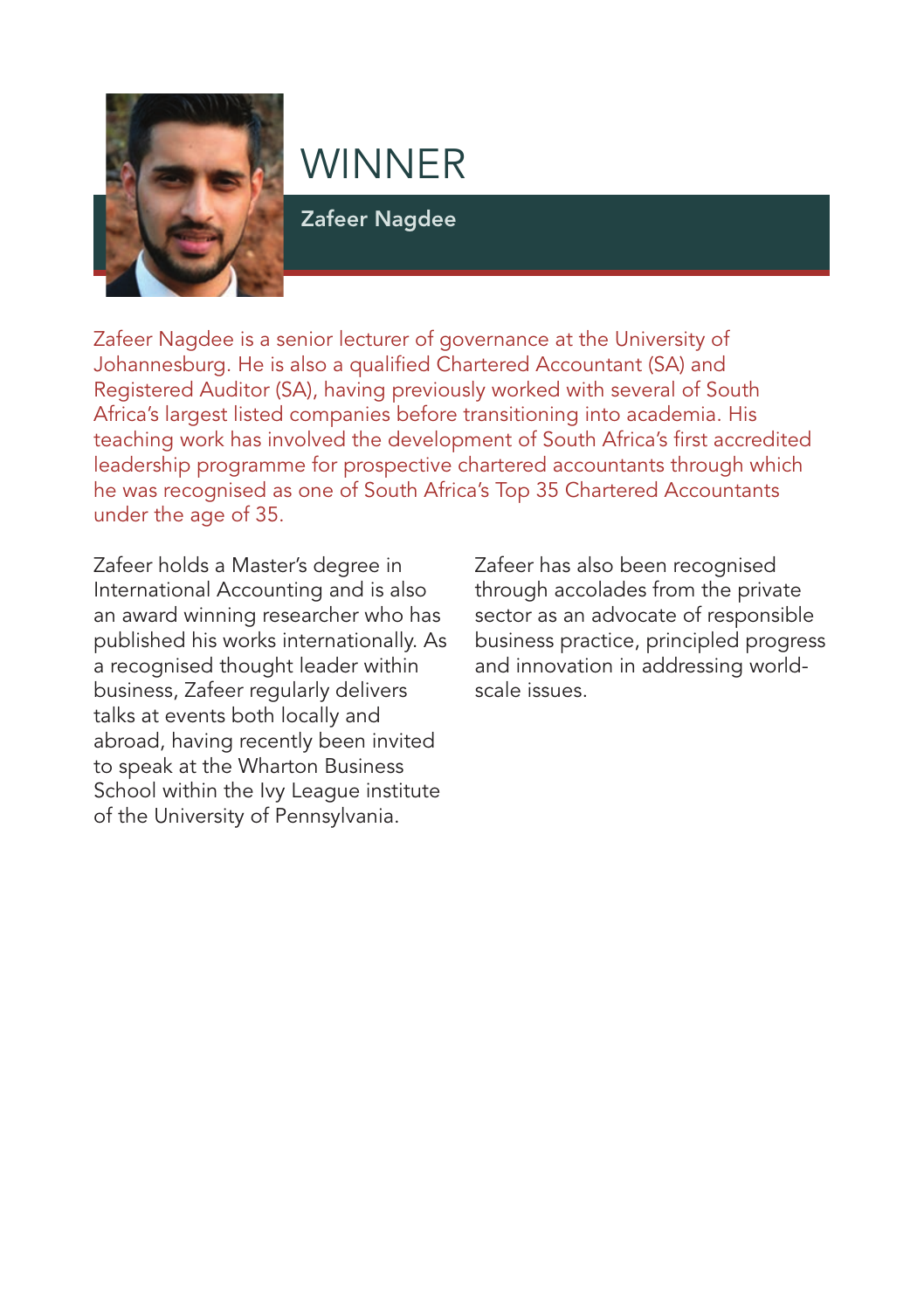

Zafeer Nagdee

Zafeer Nagdee is a senior lecturer of governance at the University of Johannesburg. He is also a qualified Chartered Accountant (SA) and Registered Auditor (SA), having previously worked with several of South Africa's largest listed companies before transitioning into academia. His teaching work has involved the development of South Africa's first accredited leadership programme for prospective chartered accountants through which he was recognised as one of South Africa's Top 35 Chartered Accountants under the age of 35.

Zafeer holds a Master's degree in International Accounting and is also an award winning researcher who has published his works internationally. As a recognised thought leader within business, Zafeer regularly delivers talks at events both locally and abroad, having recently been invited to speak at the Wharton Business School within the Ivy League institute of the University of Pennsylvania.

Zafeer has also been recognised through accolades from the private sector as an advocate of responsible business practice, principled progress and innovation in addressing worldscale issues.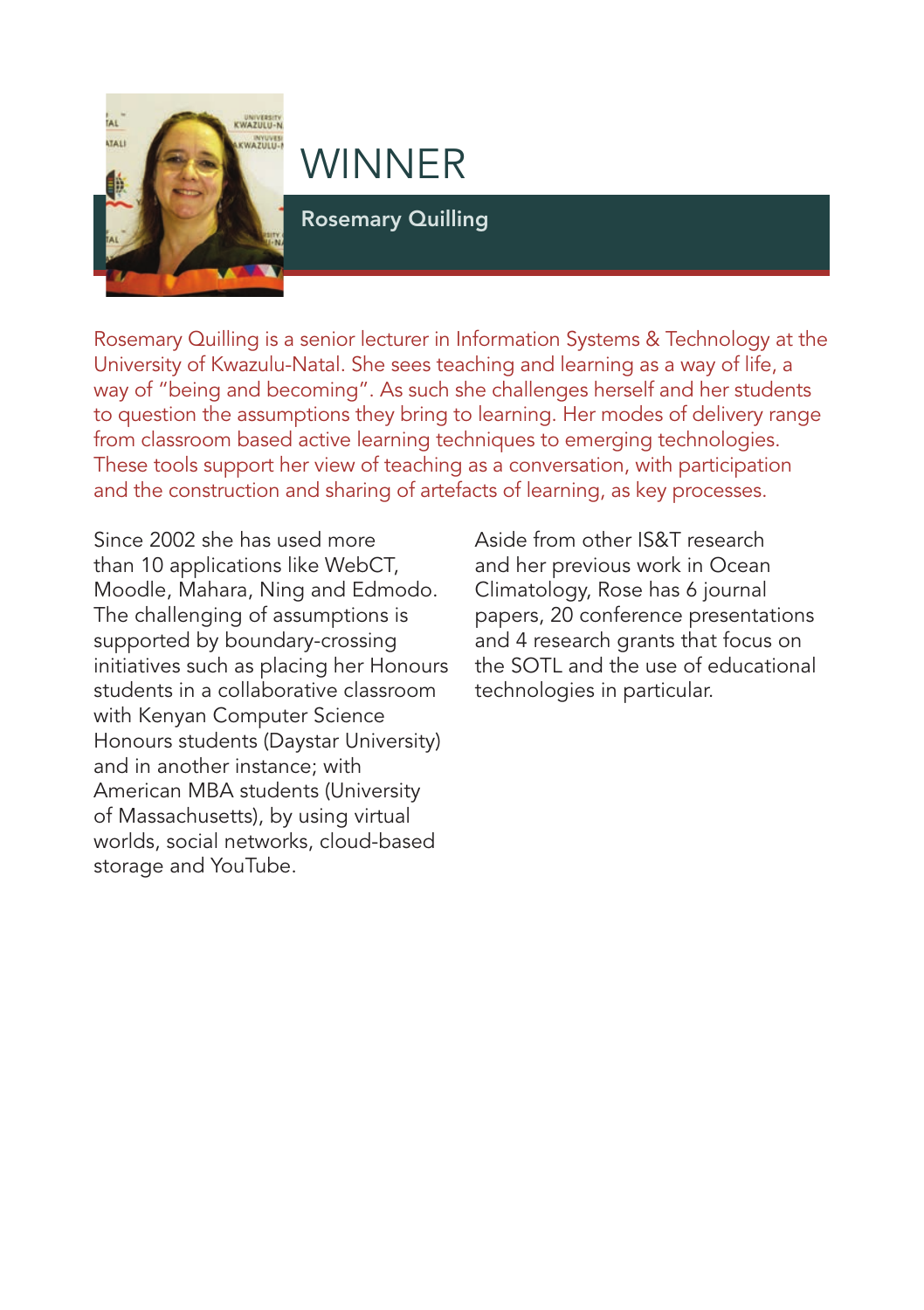

Rosemary Quilling

Rosemary Quilling is a senior lecturer in Information Systems & Technology at the University of Kwazulu-Natal. She sees teaching and learning as a way of life, a way of "being and becoming". As such she challenges herself and her students to question the assumptions they bring to learning. Her modes of delivery range from classroom based active learning techniques to emerging technologies. These tools support her view of teaching as a conversation, with participation and the construction and sharing of artefacts of learning, as key processes.

Since 2002 she has used more than 10 applications like WebCT, Moodle, Mahara, Ning and Edmodo. The challenging of assumptions is supported by boundary-crossing initiatives such as placing her Honours students in a collaborative classroom with Kenyan Computer Science Honours students (Daystar University) and in another instance; with American MBA students (University of Massachusetts), by using virtual worlds, social networks, cloud-based storage and YouTube.

Aside from other IS&T research and her previous work in Ocean Climatology, Rose has 6 journal papers, 20 conference presentations and 4 research grants that focus on the SOTL and the use of educational technologies in particular.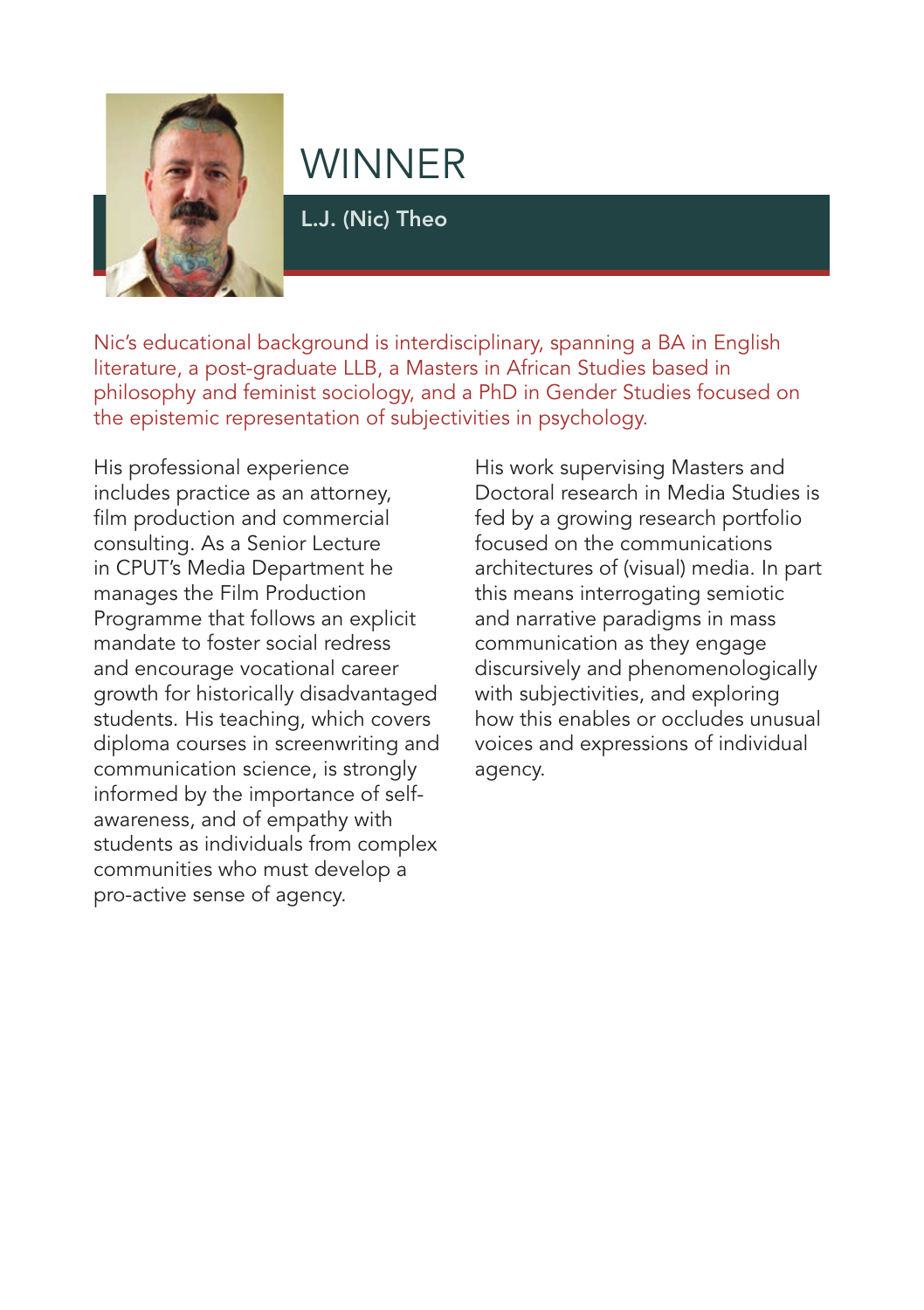

L.J. (Nic) Theo

Nic's educational background is interdisciplinary, spanning a BA in English literature, a post-graduate LLB, a Masters in African Studies based in philosophy and feminist sociology, and a PhD in Gender Studies focused on the epistemic representation of subjectivities in psychology.

His professional experience includes practice as an attorney, film production and commercial consulting. As a Senior Lecture in CPUT's Media Department he manages the Film Production Programme that follows an explicit mandate to foster social redress and encourage vocational career growth for historically disadvantaged students. His teaching, which covers diploma courses in screenwriting and communication science, is strongly informed by the importance of selfawareness, and of empathy with students as individuals from complex communities who must develop a pro-active sense of agency.

His work supervising Masters and Doctoral research in Media Studies is fed by a growing research portfolio focused on the communications architectures of (visual) media. In part this means interrogating semiotic and narrative paradigms in mass communication as they engage discursively and phenomenologically with subjectivities, and exploring how this enables or occludes unusual voices and expressions of individual agency.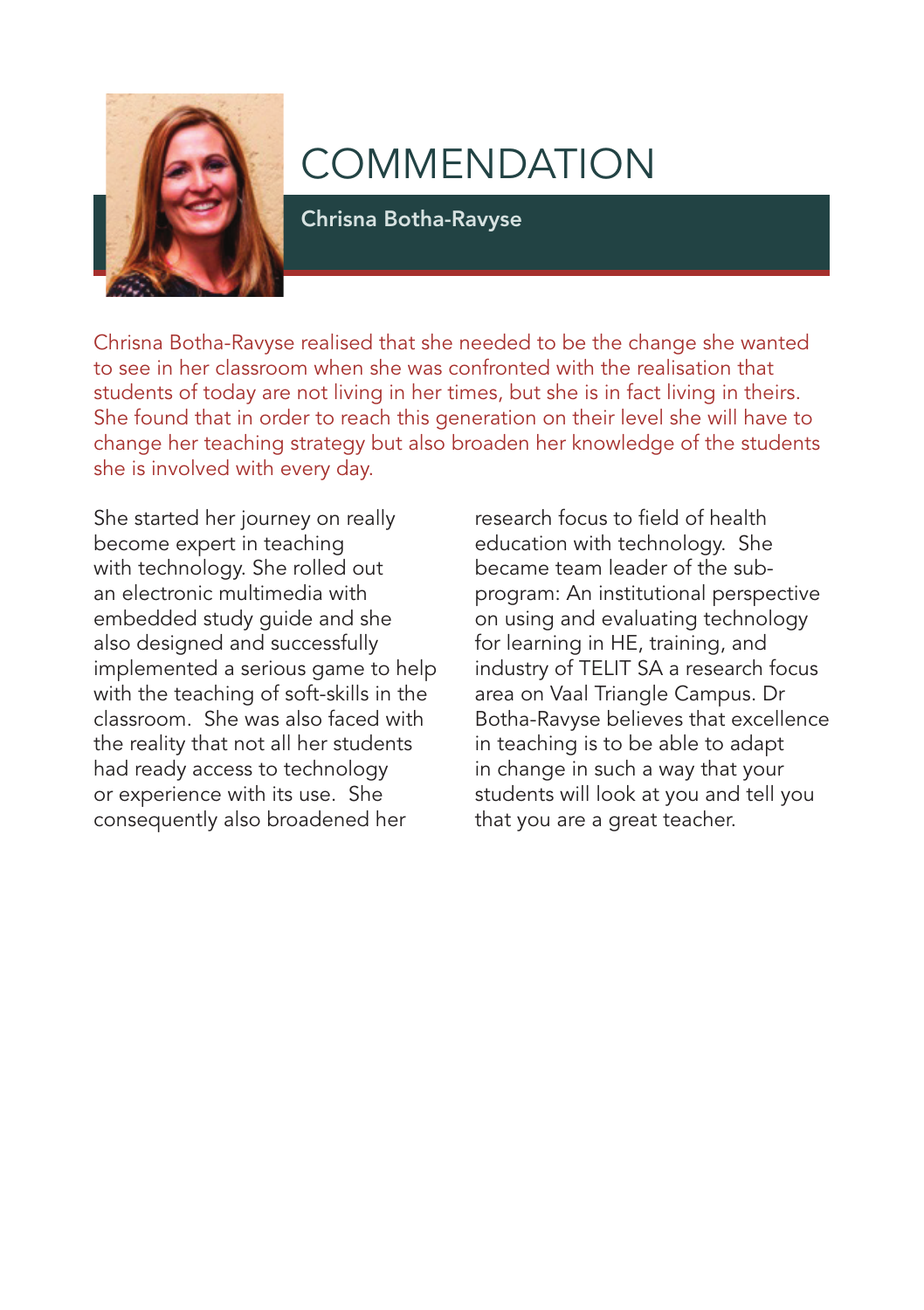

Chrisna Botha-Ravyse

Chrisna Botha-Ravyse realised that she needed to be the change she wanted to see in her classroom when she was confronted with the realisation that students of today are not living in her times, but she is in fact living in theirs. She found that in order to reach this generation on their level she will have to change her teaching strategy but also broaden her knowledge of the students she is involved with every day.

She started her journey on really become expert in teaching with technology. She rolled out an electronic multimedia with embedded study guide and she also designed and successfully implemented a serious game to help with the teaching of soft-skills in the classroom. She was also faced with the reality that not all her students had ready access to technology or experience with its use. She consequently also broadened her

research focus to field of health education with technology. She became team leader of the subprogram: An institutional perspective on using and evaluating technology for learning in HE, training, and industry of TELIT SA a research focus area on Vaal Triangle Campus. Dr Botha-Ravyse believes that excellence in teaching is to be able to adapt in change in such a way that your students will look at you and tell you that you are a great teacher.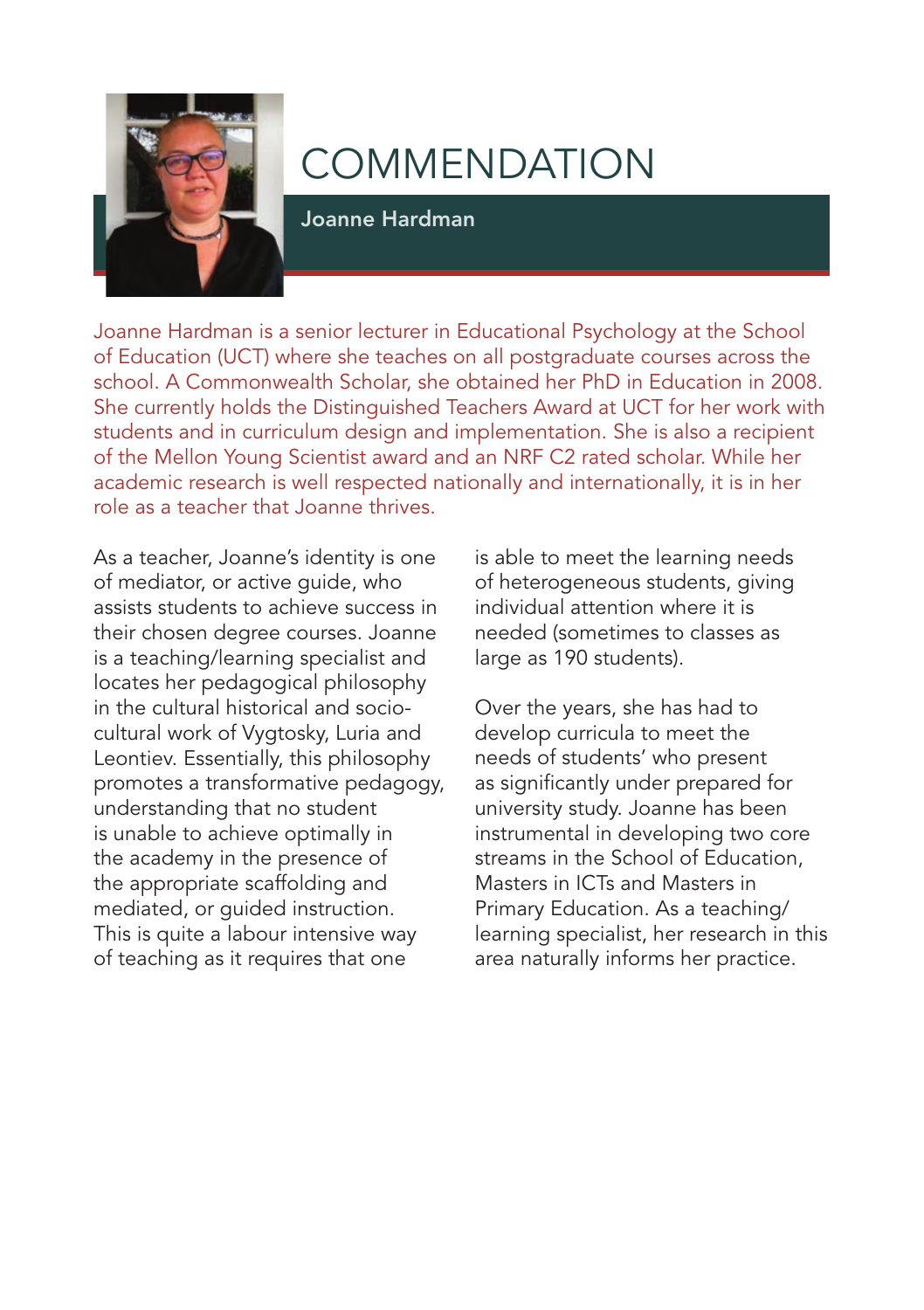

Joanne Hardman

Joanne Hardman is a senior lecturer in Educational Psychology at the School of Education (UCT) where she teaches on all postgraduate courses across the school. A Commonwealth Scholar, she obtained her PhD in Education in 2008. She currently holds the Distinguished Teachers Award at UCT for her work with students and in curriculum design and implementation. She is also a recipient of the Mellon Young Scientist award and an NRF C2 rated scholar. While her academic research is well respected nationally and internationally, it is in her role as a teacher that Joanne thrives.

As a teacher, Joanne's identity is one of mediator, or active guide, who assists students to achieve success in their chosen degree courses. Joanne is a teaching/learning specialist and locates her pedagogical philosophy in the cultural historical and sociocultural work of Vygtosky, Luria and Leontiev. Essentially, this philosophy promotes a transformative pedagogy, understanding that no student is unable to achieve optimally in the academy in the presence of the appropriate scaffolding and mediated, or guided instruction. This is quite a labour intensive way of teaching as it requires that one

is able to meet the learning needs of heterogeneous students, giving individual attention where it is needed (sometimes to classes as large as 190 students).

Over the years, she has had to develop curricula to meet the needs of students' who present as significantly under prepared for university study. Joanne has been instrumental in developing two core streams in the School of Education, Masters in ICTs and Masters in Primary Education. As a teaching/ learning specialist, her research in this area naturally informs her practice.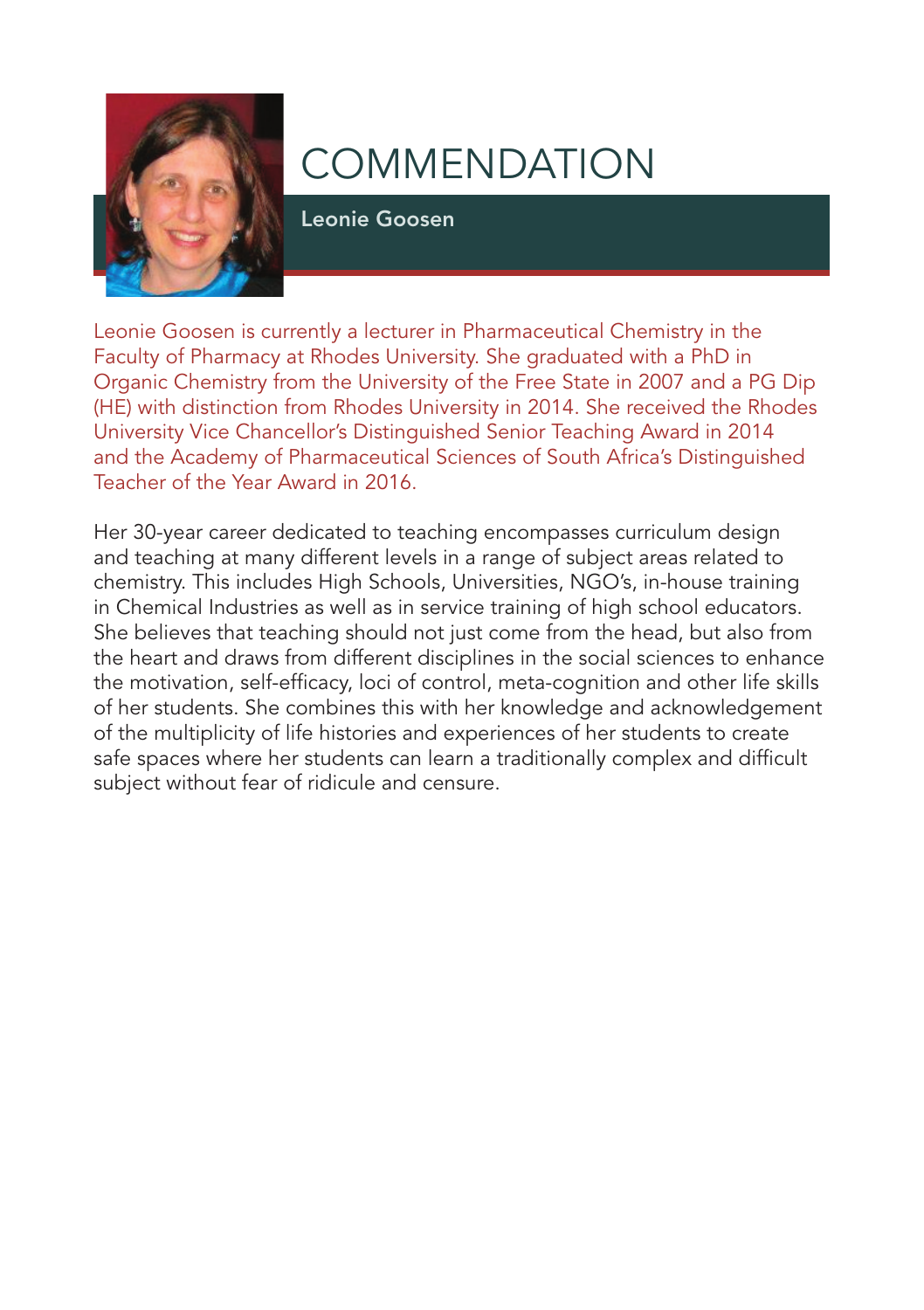

Leonie Goosen

Leonie Goosen is currently a lecturer in Pharmaceutical Chemistry in the Faculty of Pharmacy at Rhodes University. She graduated with a PhD in Organic Chemistry from the University of the Free State in 2007 and a PG Dip (HE) with distinction from Rhodes University in 2014. She received the Rhodes University Vice Chancellor's Distinguished Senior Teaching Award in 2014 and the Academy of Pharmaceutical Sciences of South Africa's Distinguished Teacher of the Year Award in 2016.

Her 30-year career dedicated to teaching encompasses curriculum design and teaching at many different levels in a range of subject areas related to chemistry. This includes High Schools, Universities, NGO's, in-house training in Chemical Industries as well as in service training of high school educators. She believes that teaching should not just come from the head, but also from the heart and draws from different disciplines in the social sciences to enhance the motivation, self-efficacy, loci of control, meta-cognition and other life skills of her students. She combines this with her knowledge and acknowledgement of the multiplicity of life histories and experiences of her students to create safe spaces where her students can learn a traditionally complex and difficult subject without fear of ridicule and censure.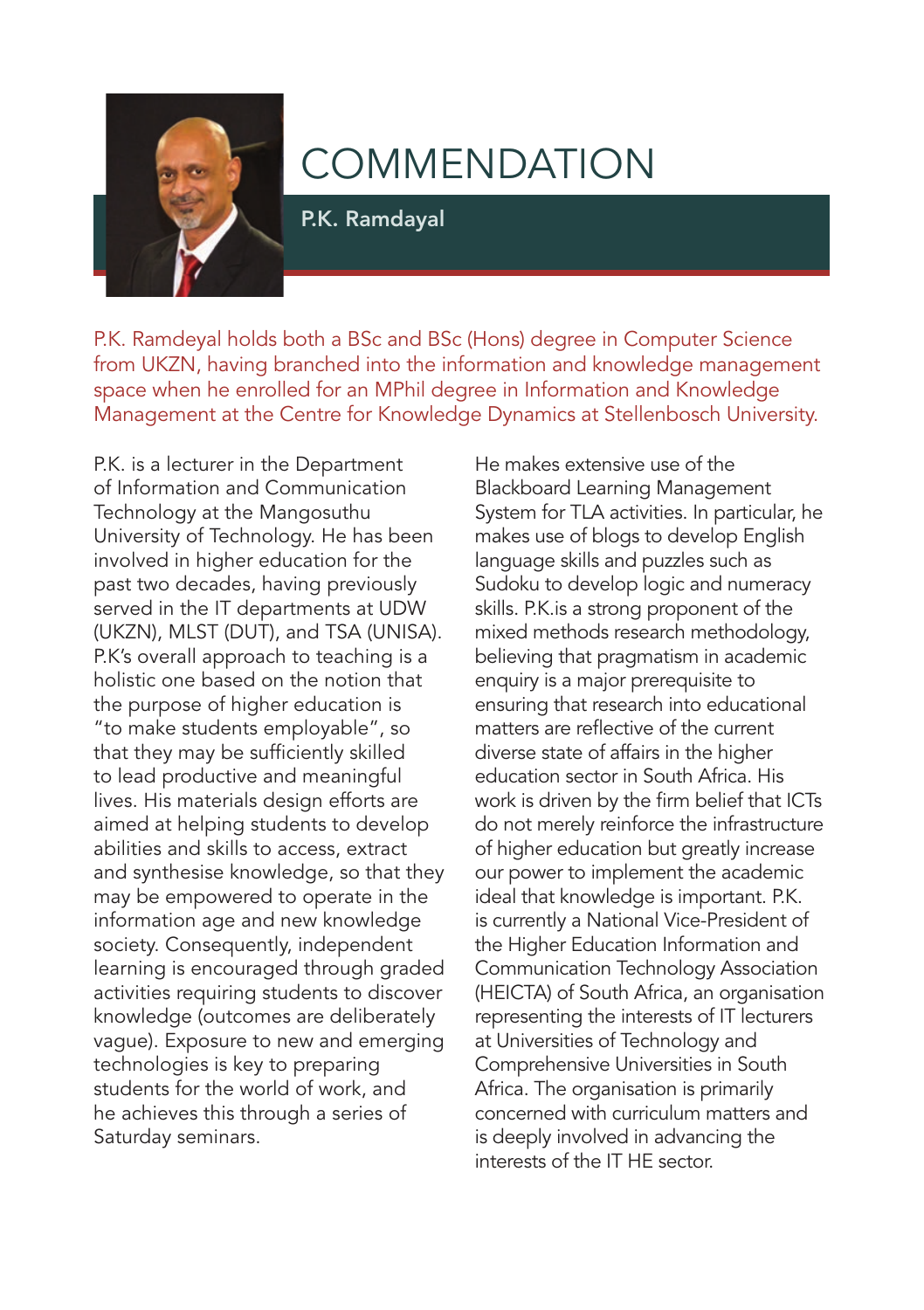

P.K. Ramdayal

P.K. Ramdeyal holds both a BSc and BSc (Hons) degree in Computer Science from UKZN, having branched into the information and knowledge management space when he enrolled for an MPhil degree in Information and Knowledge Management at the Centre for Knowledge Dynamics at Stellenbosch University.

P.K. is a lecturer in the Department of Information and Communication Technology at the Mangosuthu University of Technology. He has been involved in higher education for the past two decades, having previously served in the IT departments at UDW (UKZN), MLST (DUT), and TSA (UNISA). P.K's overall approach to teaching is a holistic one based on the notion that the purpose of higher education is "to make students employable", so that they may be sufficiently skilled to lead productive and meaningful lives. His materials design efforts are aimed at helping students to develop abilities and skills to access, extract and synthesise knowledge, so that they may be empowered to operate in the information age and new knowledge society. Consequently, independent learning is encouraged through graded activities requiring students to discover knowledge (outcomes are deliberately vague). Exposure to new and emerging technologies is key to preparing students for the world of work, and he achieves this through a series of Saturday seminars.

He makes extensive use of the Blackboard Learning Management System for TLA activities. In particular, he makes use of blogs to develop English language skills and puzzles such as Sudoku to develop logic and numeracy skills. P.K.is a strong proponent of the mixed methods research methodology, believing that pragmatism in academic enquiry is a major prerequisite to ensuring that research into educational matters are reflective of the current diverse state of affairs in the higher education sector in South Africa. His work is driven by the firm belief that ICTs do not merely reinforce the infrastructure of higher education but greatly increase our power to implement the academic ideal that knowledge is important. P.K. is currently a National Vice-President of the Higher Education Information and Communication Technology Association (HEICTA) of South Africa, an organisation representing the interests of IT lecturers at Universities of Technology and Comprehensive Universities in South Africa. The organisation is primarily concerned with curriculum matters and is deeply involved in advancing the interests of the IT HE sector.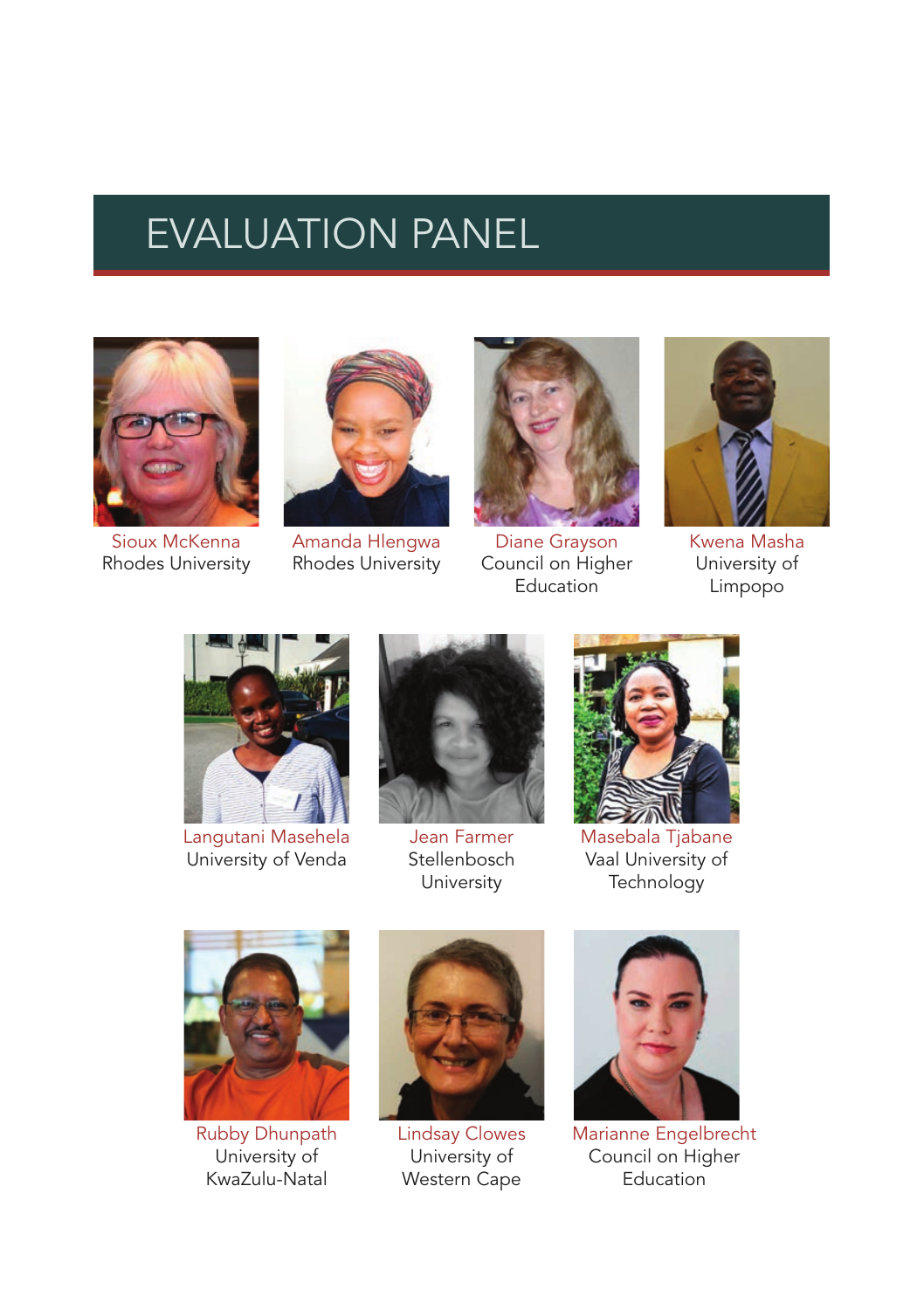## EVALUATION PANEL



Sioux McKenna Rhodes University



Amanda Hlengwa Rhodes University



Diane Grayson Council on Higher **Education** 



Kwena Masha University of Limpopo



Langutani Masehela University of Venda



Jean Farmer **Stellenbosch** University



Masebala Tjabane Vaal University of **Technology** 



Rubby Dhunpath University of KwaZulu-Natal



Lindsay Clowes University of Western Cape



Marianne Engelbrecht Council on Higher **Education**